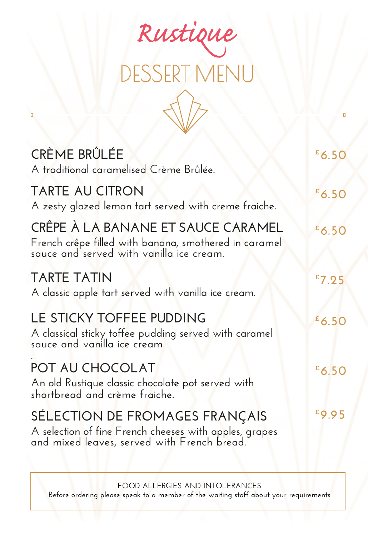

| CRÈME BRÛLÉE<br>A traditional caramelised Crème Brûlée.                                                                                 | $E$ 6.50 |
|-----------------------------------------------------------------------------------------------------------------------------------------|----------|
| <b>TARTE AU CITRON</b><br>A zesty glazed lemon tart served with creme fraiche.                                                          | $E$ 6.50 |
| CRÊPE À LA BANANE ET SAUCE CARAMEL<br>French crêpe filled with banana, smothered in caramel<br>sauce and served with vanilla ice cream. | $E$ 6.50 |
| <b>TARTE TATIN</b><br>A classic apple tart served with vanilla ice cream.                                                               | $E$ 7.25 |
| LE STICKY TOFFEE PUDDING<br>A classical sticky toffee pudding served with caramel<br>sauce and vanilla ice cream                        | $E$ 6.50 |
| POT AU CHOCOLAT<br>An old Rustique classic chocolate pot served with<br>shortbread and crème fraiche.                                   | $E$ 6.50 |
| SÉLECTION DE FROMAGES FRANÇAIS<br>A selection of fine French cheeses with apples, grapes<br>and mixed leaves, served with French bread. | £9.95    |

**FOOD ALLERGIES AND INTOLERANCES Before ordering please speak to a member of the waiting staff about your requirements**